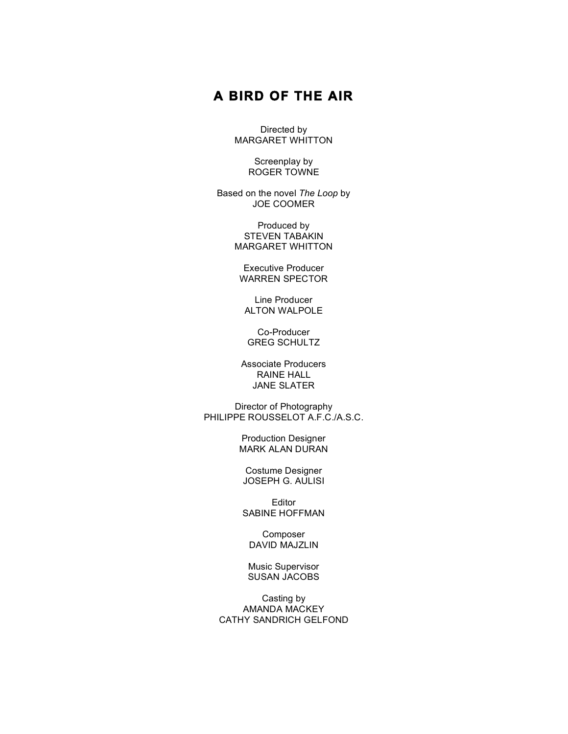# **A BIRD OF THE AIR**

Directed by MARGARET WHITTON

> Screenplay by ROGER TOWNE

Based on the novel *The Loop* by JOE COOMER

> Produced by STEVEN TABAKIN MARGARET WHITTON

Executive Producer WARREN SPECTOR

Line Producer ALTON WALPOLE

Co-Producer GREG SCHULTZ

Associate Producers RAINE HALL JANE SLATER

Director of Photography PHILIPPE ROUSSELOT A.F.C./A.S.C.

> Production Designer MARK ALAN DURAN

Costume Designer JOSEPH G. AULISI

Editor SABINE HOFFMAN

Composer DAVID MAJZLIN

Music Supervisor SUSAN JACOBS

Casting by AMANDA MACKEY CATHY SANDRICH GELFOND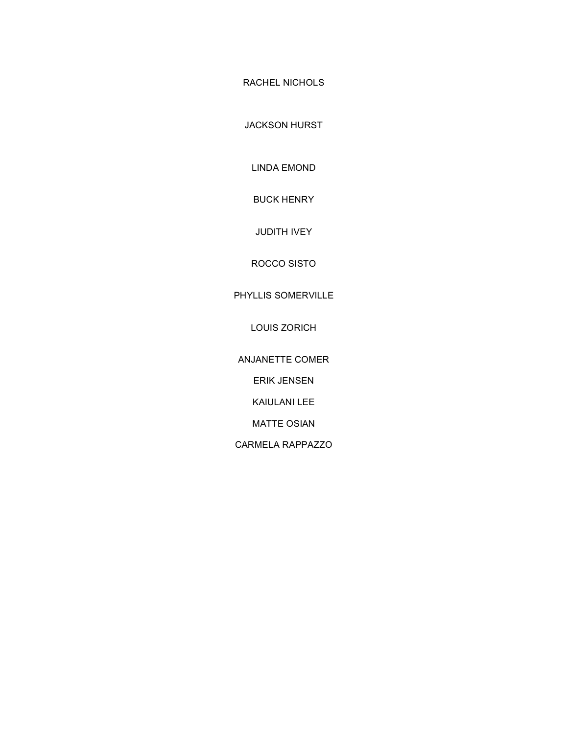RACHEL NICHOLS

JACKSON HURST

LINDA EMOND

BUCK HENRY

JUDITH IVEY

ROCCO SISTO

# PHYLLIS SOMERVILLE

LOUIS ZORICH

ANJANETTE COMER

ERIK JENSEN

KAIULANI LEE

MATTE OSIAN

CARMELA RAPPAZZO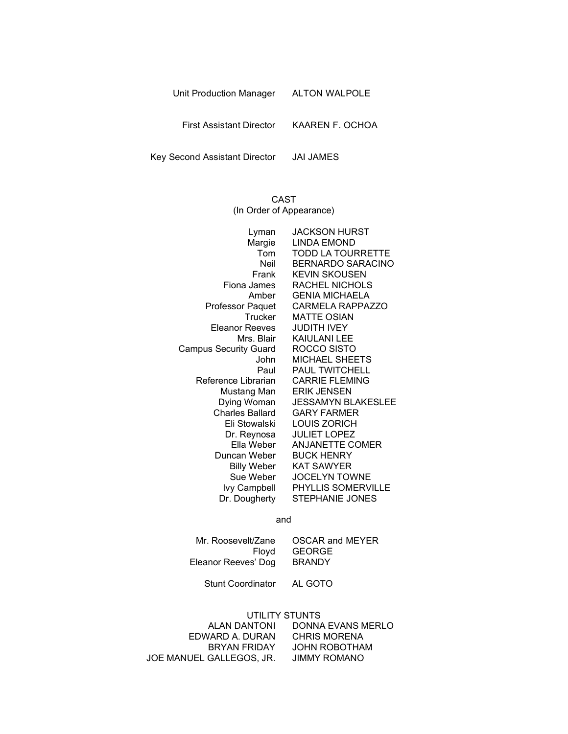| Unit Production Manager | <b>ALTON WALPOLE</b> |
|-------------------------|----------------------|
|                         |                      |

First Assistant Director KAAREN F. OCHOA

Key Second Assistant Director JAI JAMES

# CAST (In Order of Appearance)

| Lyman                        | <b>JACKSON HURST</b>      |
|------------------------------|---------------------------|
| Margie                       | <b>LINDA EMOND</b>        |
| Tom                          | <b>TODD LA TOURRETTE</b>  |
| Neil                         | <b>BERNARDO SARACINO</b>  |
| Frank                        | <b>KEVIN SKOUSEN</b>      |
| Fiona James                  | RACHEL NICHOLS            |
| Amber                        | <b>GENIA MICHAELA</b>     |
| <b>Professor Paquet</b>      | <b>CARMELA RAPPAZZO</b>   |
| Trucker                      | <b>MATTE OSIAN</b>        |
| Eleanor Reeves               | <b>JUDITH IVEY</b>        |
| Mrs. Blair                   | KAIULANI LEE              |
| <b>Campus Security Guard</b> | ROCCO SISTO               |
| John                         | <b>MICHAEL SHEETS</b>     |
| Paul                         | <b>PAUL TWITCHELL</b>     |
| Reference Librarian          | <b>CARRIE FLEMING</b>     |
| Mustang Man                  | <b>ERIK JENSEN</b>        |
| Dying Woman                  | <b>JESSAMYN BLAKESLEE</b> |
| <b>Charles Ballard</b>       | <b>GARY FARMER</b>        |
| Eli Stowalski                | LOUIS ZORICH              |
| Dr. Reynosa                  | <b>JULIET LOPEZ</b>       |
| Ella Weber                   | <b>ANJANETTE COMER</b>    |
| Duncan Weber                 | <b>BUCK HENRY</b>         |
| <b>Billy Weber</b>           | <b>KAT SAWYER</b>         |
| Sue Weber                    | <b>JOCELYN TOWNE</b>      |
| lvy Campbell                 | <b>PHYLLIS SOMERVILLE</b> |
| Dr. Dougherty                | <b>STEPHANIE JONES</b>    |
|                              |                           |

and

| Mr. Roosevelt/Zane  | <b>OSCAR and MEYER</b> |
|---------------------|------------------------|
| Flovd               | GEORGE                 |
| Eleanor Reeves' Dog | <b>BRANDY</b>          |

Stunt Coordinator AL GOTO

#### UTILITY STUNTS

| ALAN DANTONI             | DONNA EVANS MERLO   |
|--------------------------|---------------------|
| EDWARD A. DURAN          | <b>CHRIS MORENA</b> |
| BRYAN FRIDAY             | JOHN ROBOTHAM       |
| JOE MANUEL GALLEGOS, JR. | JIMMY ROMANO        |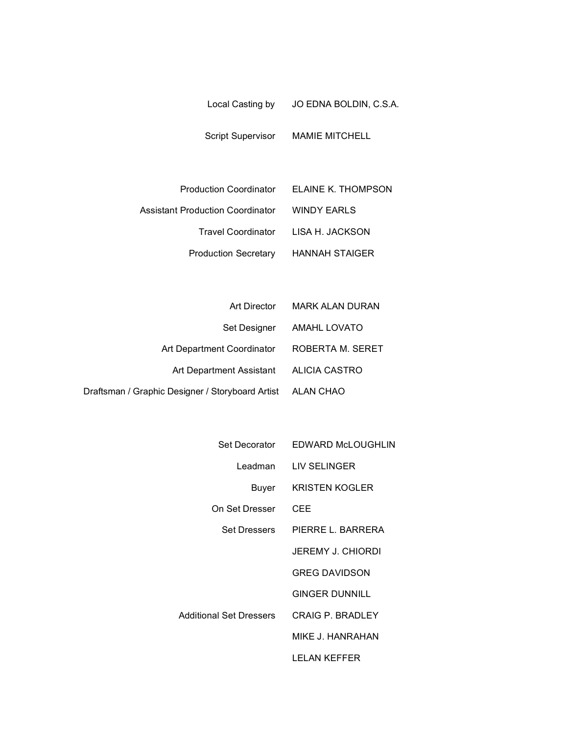| Local Casting by | JO EDNA BOLDIN, C.S.A. |
|------------------|------------------------|
|                  |                        |

Script Supervisor MAMIE MITCHELL

|                                              | Production Coordinator ELAINE K. THOMPSON |
|----------------------------------------------|-------------------------------------------|
| Assistant Production Coordinator MINDY EARLS |                                           |
|                                              | Travel Coordinator LISA H. JACKSON        |
| <b>Production Secretary</b>                  | HANNAH STAIGER                            |

| Art Director                                               | <b>MARK ALAN DURAN</b> |
|------------------------------------------------------------|------------------------|
| Set Designer                                               | <b>AMAHL LOVATO</b>    |
| Art Department Coordinator                                 | ROBERTA M. SERET       |
| Art Department Assistant                                   | ALICIA CASTRO          |
| Draftsman / Graphic Designer / Storyboard Artist ALAN CHAO |                        |

| Set Decorator           | EDWARD McLOUGHLIN       |
|-------------------------|-------------------------|
| Leadman                 | LIV SELINGER            |
| Buyer                   | <b>KRISTEN KOGLER</b>   |
| On Set Dresser          | CEE                     |
| <b>Set Dressers</b>     | PIERRE L. BARRERA       |
|                         | JEREMY J. CHIORDI       |
|                         | <b>GREG DAVIDSON</b>    |
|                         | GINGER DUNNILL          |
| Additional Set Dressers | <b>CRAIG P. BRADLEY</b> |
|                         | MIKE J. HANRAHAN        |
|                         | I FI AN KEFFFR          |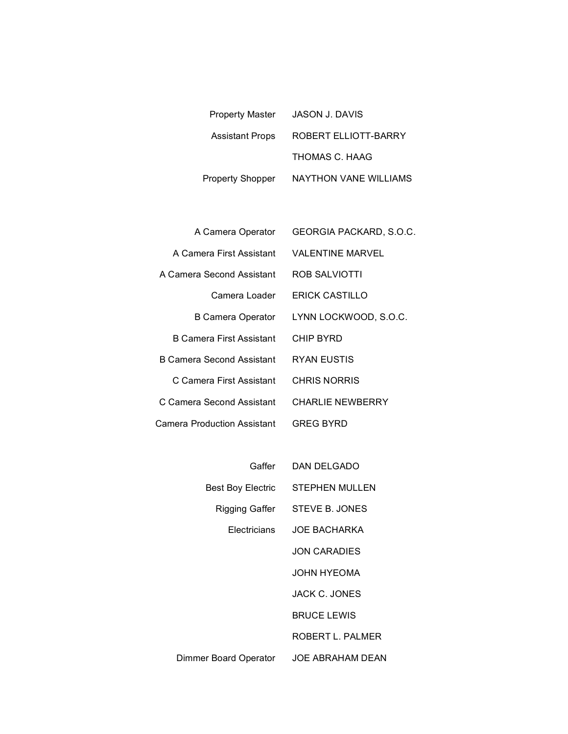| <b>Property Master</b> | <b>JASON J. DAVIS</b> |
|------------------------|-----------------------|
| <b>Assistant Props</b> | ROBERT ELLIOTT-BARRY  |
|                        | THOMAS C. HAAG        |
| Property Shopper       | NAYTHON VANE WILLIAMS |

| A Camera Operator           | GEORGIA PACKARD, S.O.C. |
|-----------------------------|-------------------------|
| A Camera First Assistant    | VALENTINE MARVEL        |
| A Camera Second Assistant   | ROB SALVIOTTI           |
| Camera Loader               | ERICK CASTILLO          |
| B Camera Operator           | LYNN LOCKWOOD, S.O.C.   |
| B Camera First Assistant    | CHIP BYRD               |
| B Camera Second Assistant   | RYAN EUSTIS             |
| C Camera First Assistant    | <b>CHRIS NORRIS</b>     |
| C Camera Second Assistant   | CHARLIF NEWBERRY        |
| Camera Production Assistant | GREG BYRD               |

| Gaffer                   | DAN DELGADO           |
|--------------------------|-----------------------|
| <b>Best Boy Electric</b> | <b>STEPHEN MULLEN</b> |
| Rigging Gaffer           | STEVE B. JONES        |
| <b>Electricians</b>      | <b>JOE BACHARKA</b>   |
|                          | <b>JON CARADIES</b>   |
|                          | JOHN HYFOMA           |
|                          | <b>JACK C. JONES</b>  |
|                          | <b>BRUCE LEWIS</b>    |
|                          | ROBERT L. PALMER      |
| Dimmer Board Operator    | JOE ABRAHAM DEAN      |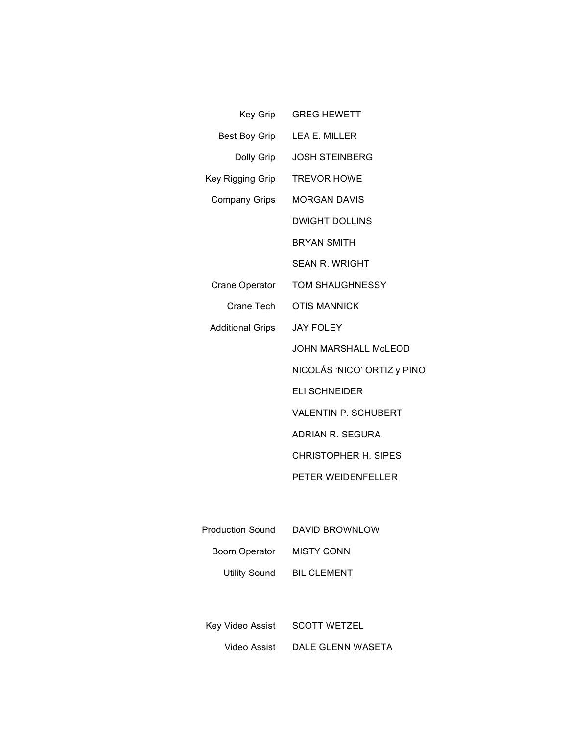|                              | Key Grip GREG HEWETT             |
|------------------------------|----------------------------------|
|                              | Best Boy Grip LEA E. MILLER      |
|                              | Dolly Grip JOSH STEINBERG        |
| Key Rigging Grip TREVOR HOWE |                                  |
| Company Grips                | <b>MORGAN DAVIS</b>              |
|                              | <b>DWIGHT DOLLINS</b>            |
|                              | <b>BRYAN SMITH</b>               |
|                              | <b>SEAN R. WRIGHT</b>            |
| Crane Operator               | TOM SHAUGHNESSY                  |
|                              | Crane Tech  OTIS MANNICK         |
| Additional Grips JAY FOLEY   |                                  |
|                              | <b>JOHN MARSHALL McLEOD</b>      |
|                              | NICOLÁS 'NICO' ORTIZ y PINO      |
|                              | <b>ELI SCHNEIDER</b>             |
|                              | VALENTIN P. SCHUBERT             |
|                              | <b>ADRIAN R. SEGURA</b>          |
|                              | <b>CHRISTOPHER H. SIPES</b>      |
|                              | PETER WEIDENFELLER               |
|                              |                                  |
|                              | Production Sound  DAVID BROWNLOW |
| Boom Operator                | <b>MISTY CONN</b>                |

Utility Sound BIL CLEMENT

Key Video Assist SCOTT WETZEL

Video Assist DALE GLENN WASETA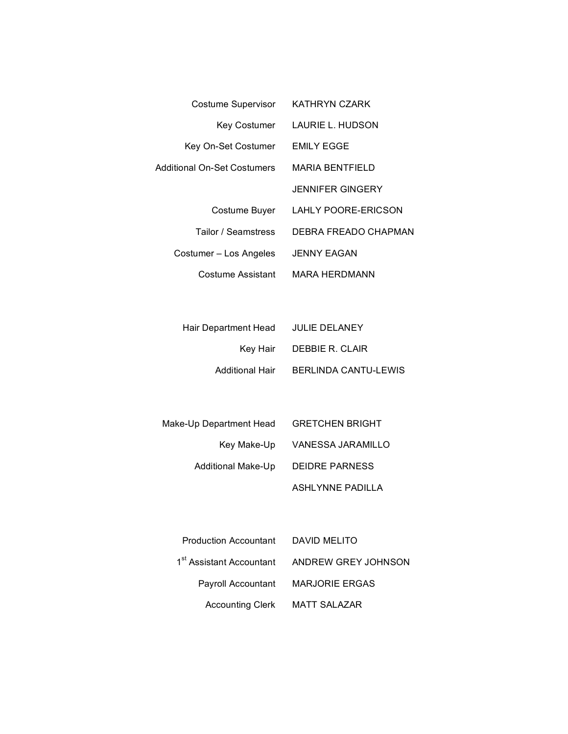| <b>Costume Supervisor</b>   | KATHRYN CZARK              |
|-----------------------------|----------------------------|
| Key Costumer                | LAURIE L. HUDSON           |
| Key On-Set Costumer         | EMILY EGGE                 |
| Additional On-Set Costumers | <b>MARIA BENTFIELD</b>     |
|                             | <b>JENNIFER GINGERY</b>    |
| Costume Buyer               | <b>LAHLY POORE-ERICSON</b> |
| Tailor / Seamstress         | DEBRA FREADO CHAPMAN       |
| Costumer - Los Angeles      | <b>JENNY EAGAN</b>         |
| Costume Assistant           | MARA HERDMANN              |

|                                      | Hair Department Head JULIE DELANEY |
|--------------------------------------|------------------------------------|
| Key Hair DEBBIE R. CLAIR             |                                    |
| Additional Hair BERLINDA CANTU-LEWIS |                                    |

| Make-Up Department Head   | <b>GRETCHEN BRIGHT</b> |
|---------------------------|------------------------|
| Key Make-Up               | VANESSA JARAMILLO      |
| <b>Additional Make-Up</b> | <b>DEIDRE PARNESS</b>  |
|                           | ASHLYNNE PADILLA       |

| Production Accountant DAVID MELITO |                                                          |
|------------------------------------|----------------------------------------------------------|
|                                    | 1 <sup>st</sup> Assistant Accountant ANDREW GREY JOHNSON |
|                                    | Payroll Accountant MARJORIE ERGAS                        |
| Accounting Clerk MATT SALAZAR      |                                                          |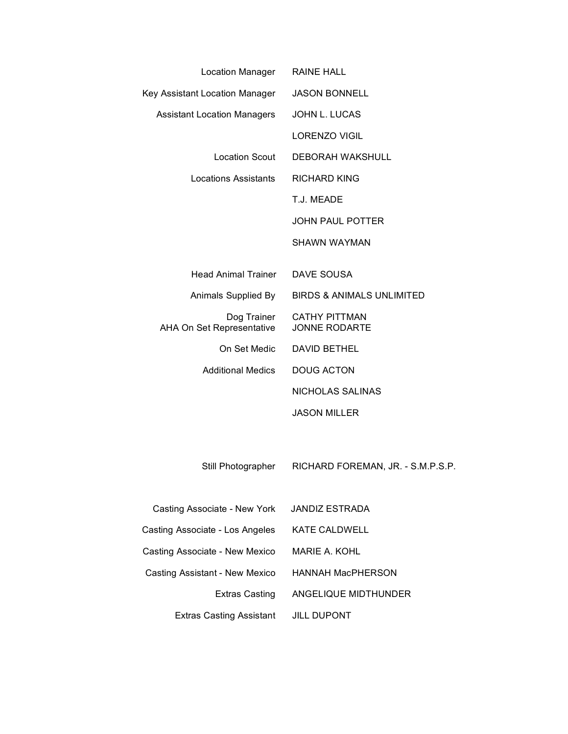| Location Manager                         | <b>RAINE HALL</b>                     |
|------------------------------------------|---------------------------------------|
| Key Assistant Location Manager           | <b>JASON BONNELL</b>                  |
| <b>Assistant Location Managers</b>       | JOHN L. LUCAS                         |
|                                          | <b>LORENZO VIGIL</b>                  |
| Location Scout                           | <b>DEBORAH WAKSHULL</b>               |
| <b>Locations Assistants</b>              | <b>RICHARD KING</b>                   |
|                                          | T.J. MEADE                            |
|                                          | <b>JOHN PAUL POTTER</b>               |
|                                          | <b>SHAWN WAYMAN</b>                   |
|                                          |                                       |
| Head Animal Trainer                      | DAVE SOUSA                            |
| Animals Supplied By                      | BIRDS & ANIMALS UNLIMITED             |
| Dog Trainer<br>AHA On Set Representative | <b>CATHY PITTMAN</b><br>JONNE RODARTE |
| On Set Medic                             | <b>DAVID BETHEL</b>                   |
| <b>Additional Medics</b>                 | <b>DOUG ACTON</b>                     |
|                                          | NICHOLAS SALINAS                      |
|                                          | <b>JASON MILLER</b>                   |
|                                          |                                       |
| Still Photographer                       | RICHARD FOREMAN, JR. - S.M.P.S.P.     |
| Casting Associate - New York             | <b>JANDIZ ESTRADA</b>                 |
| Casting Associate - Los Angeles          | <b>KATE CALDWELL</b>                  |
| Casting Associate - New Mexico           | <b>MARIE A. KOHL</b>                  |
| Casting Assistant - New Mexico           | <b>HANNAH MacPHERSON</b>              |
| <b>Extras Casting</b>                    | ANGELIQUE MIDTHUNDER                  |
| <b>Extras Casting Assistant</b>          | <b>JILL DUPONT</b>                    |
|                                          |                                       |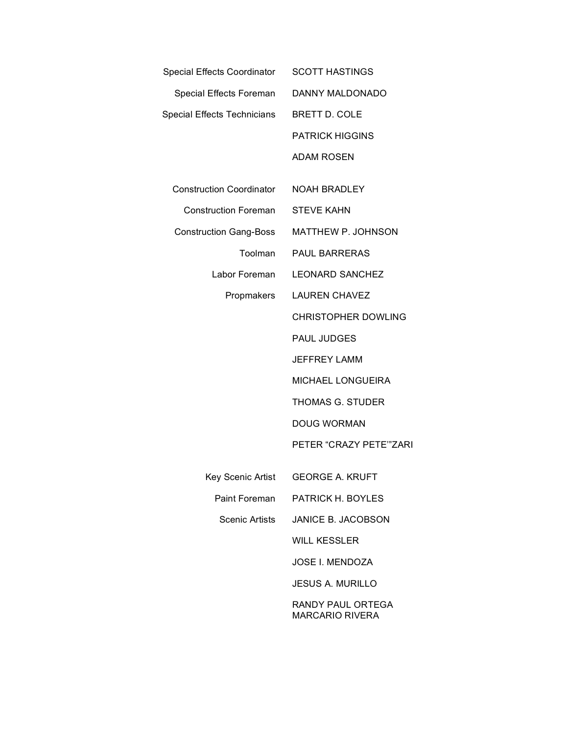| Special Effects Coordinator     | <b>SCOTT HASTINGS</b>                       |
|---------------------------------|---------------------------------------------|
| Special Effects Foreman         | DANNY MALDONADO                             |
| Special Effects Technicians     | <b>BRETT D. COLE</b>                        |
|                                 | <b>PATRICK HIGGINS</b>                      |
|                                 | <b>ADAM ROSEN</b>                           |
| <b>Construction Coordinator</b> | <b>NOAH BRADLEY</b>                         |
| <b>Construction Foreman</b>     | <b>STEVE KAHN</b>                           |
| <b>Construction Gang-Boss</b>   | <b>MATTHEW P. JOHNSON</b>                   |
| Toolman                         | <b>PAUL BARRERAS</b>                        |
| Labor Foreman                   | <b>LEONARD SANCHEZ</b>                      |
| Propmakers                      | <b>LAUREN CHAVEZ</b>                        |
|                                 | <b>CHRISTOPHER DOWLING</b>                  |
|                                 | <b>PAUL JUDGES</b>                          |
|                                 | <b>JEFFREY LAMM</b>                         |
|                                 | <b>MICHAEL LONGUEIRA</b>                    |
|                                 | <b>THOMAS G. STUDER</b>                     |
|                                 | <b>DOUG WORMAN</b>                          |
|                                 | PETER "CRAZY PETE" ZARI                     |
|                                 | Key Scenic Artist GEORGE A. KRUFT           |
| Paint Foreman                   | PATRICK H. BOYLES                           |
| Scenic Artists                  | JANICE B. JACOBSON                          |
|                                 | <b>WILL KESSLER</b>                         |
|                                 | <b>JOSE I. MENDOZA</b>                      |
|                                 | <b>JESUS A. MURILLO</b>                     |
|                                 | RANDY PAUL ORTEGA<br><b>MARCARIO RIVERA</b> |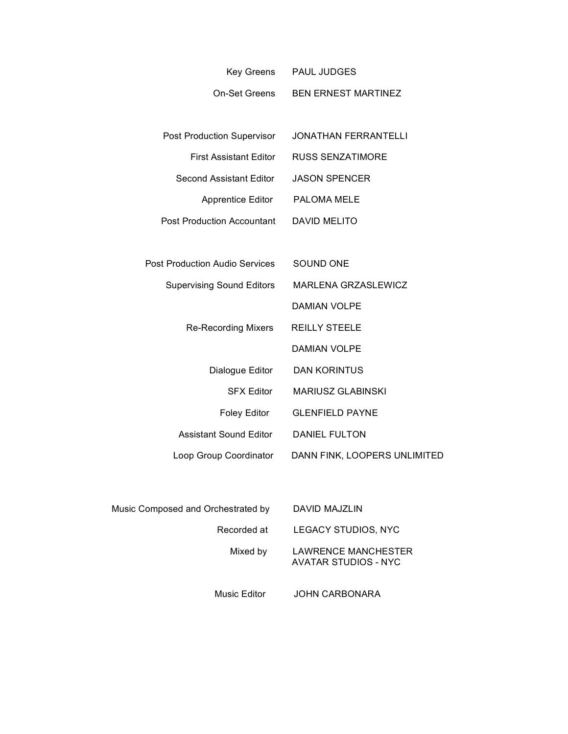|                                       | Key Greens PAUL JUDGES       |
|---------------------------------------|------------------------------|
| On-Set Greens                         | <b>BEN ERNEST MARTINEZ</b>   |
|                                       |                              |
| Post Production Supervisor            | <b>JONATHAN FERRANTELLI</b>  |
| <b>First Assistant Editor</b>         | <b>RUSS SENZATIMORE</b>      |
| Second Assistant Editor               | <b>JASON SPENCER</b>         |
| <b>Apprentice Editor</b>              | PALOMA MELE                  |
| <b>Post Production Accountant</b>     | <b>DAVID MELITO</b>          |
|                                       |                              |
| <b>Post Production Audio Services</b> | SOUND ONE                    |
| <b>Supervising Sound Editors</b>      | MARLENA GRZASLEWICZ          |
|                                       | <b>DAMIAN VOLPE</b>          |
| <b>Re-Recording Mixers</b>            | <b>REILLY STEELE</b>         |
|                                       | <b>DAMIAN VOLPE</b>          |
| Dialogue Editor                       | <b>DAN KORINTUS</b>          |
| <b>SFX Editor</b>                     | <b>MARIUSZ GLABINSKI</b>     |
| Foley Editor                          | <b>GLENFIELD PAYNE</b>       |
| <b>Assistant Sound Editor</b>         | <b>DANIEL FULTON</b>         |
| Loop Group Coordinator                | DANN FINK, LOOPERS UNLIMITED |
|                                       |                              |
|                                       |                              |

| Music Composed and Orchestrated by | DAVID MAJZLIN                               |
|------------------------------------|---------------------------------------------|
| Recorded at                        | LEGACY STUDIOS, NYC                         |
| Mixed by                           | LAWRENCE MANCHESTER<br>AVATAR STUDIOS - NYC |
| Music Editor                       | <b>JOHN CARBONARA</b>                       |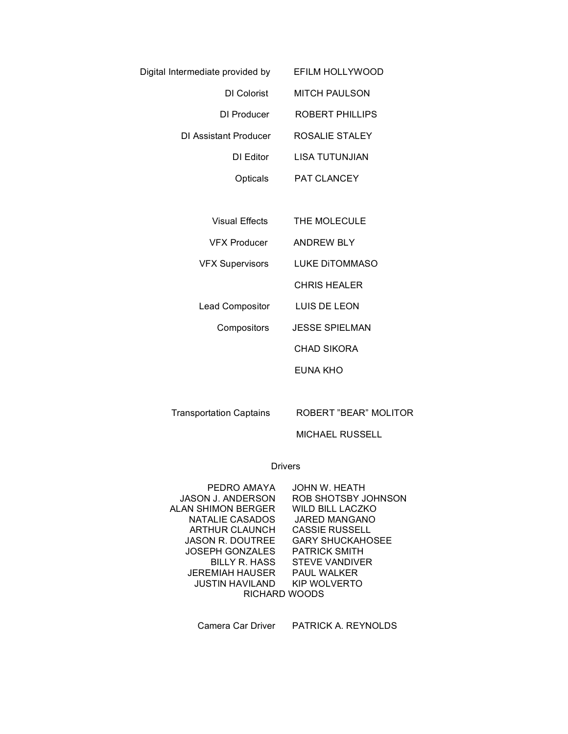| Digital Intermediate provided by | EFILM HOLLYWOOD    |
|----------------------------------|--------------------|
| DI Colorist                      | MITCH PAULSON      |
| DI Producer                      | ROBERT PHILLIPS    |
| DI Assistant Producer            | ROSALIE STALEY     |
| DI Editor                        | LISA TUTUNJIAN     |
| Opticals                         | <b>PAT CLANCEY</b> |
|                                  |                    |

Visual Effects THE MOLECULE

VFX Producer ANDREW BLY

VFX Supervisors LUKE DiTOMMASO

CHRIS HEALER

Lead Compositor LUIS DE LEON

Compositors JESSE SPIELMAN

CHAD SIKORA

EUNA KHO

Transportation Captains ROBERT "BEAR" MOLITOR

MICHAEL RUSSELL

# Drivers

| PEDRO AMAYA               | JOHN W. HEATH           |
|---------------------------|-------------------------|
| <b>JASON J. ANDERSON</b>  | ROB SHOTSBY JOHNSON     |
| <b>ALAN SHIMON BERGER</b> | WILD BILL LACZKO        |
| NATALIE CASADOS           | <b>JARED MANGANO</b>    |
| ARTHUR CLAUNCH            | <b>CASSIE RUSSELL</b>   |
| <b>JASON R. DOUTREE</b>   | <b>GARY SHUCKAHOSEE</b> |
| <b>JOSEPH GONZALES</b>    | <b>PATRICK SMITH</b>    |
| BILLY R. HASS             | <b>STEVE VANDIVER</b>   |
| JEREMIAH HAUSER           | <b>PAUL WALKER</b>      |
| <b>JUSTIN HAVILAND</b>    | KIP WOLVERTO            |
| RICHARD WOODS             |                         |

Camera Car Driver PATRICK A. REYNOLDS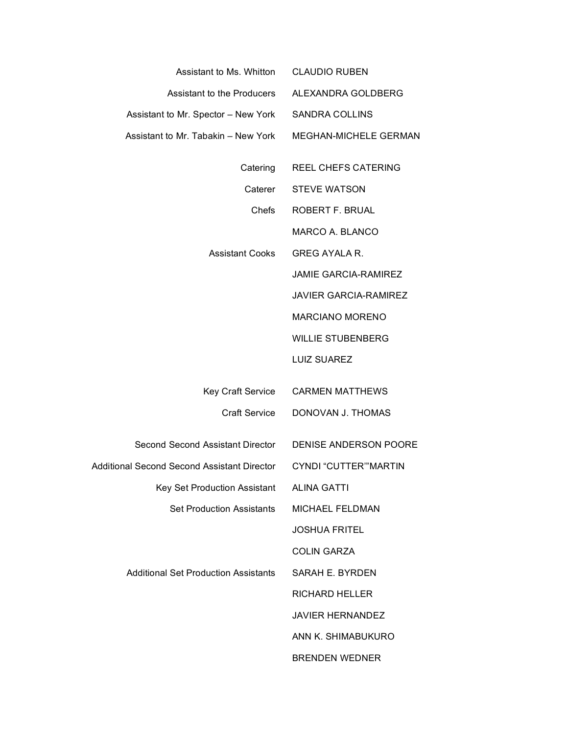| Assistant to Ms. Whitton<br><b>CLAUDIO RUBEN</b>                            |
|-----------------------------------------------------------------------------|
| Assistant to the Producers<br>ALEXANDRA GOLDBERG                            |
| <b>SANDRA COLLINS</b><br>Assistant to Mr. Spector - New York                |
| MEGHAN-MICHELE GERMAN                                                       |
| REEL CHEFS CATERING                                                         |
| <b>STEVE WATSON</b><br>Caterer                                              |
| Chefs<br>ROBERT F. BRUAL                                                    |
| MARCO A. BLANCO                                                             |
| <b>GREG AYALA R.</b>                                                        |
| <b>JAMIE GARCIA-RAMIREZ</b>                                                 |
| <b>JAVIER GARCIA-RAMIREZ</b>                                                |
| <b>MARCIANO MORENO</b>                                                      |
| <b>WILLIE STUBENBERG</b>                                                    |
| <b>LUIZ SUAREZ</b>                                                          |
|                                                                             |
| <b>CARMEN MATTHEWS</b><br>Key Craft Service                                 |
| <b>Craft Service</b><br>DONOVAN J. THOMAS                                   |
| Second Second Assistant Director<br>DENISE ANDERSON POORE                   |
| Additional Second Second Assistant Director<br><b>CYNDI "CUTTER" MARTIN</b> |
| <b>ALINA GATTI</b>                                                          |
| MICHAEL FELDMAN                                                             |
| <b>JOSHUA FRITEL</b>                                                        |
| <b>COLIN GARZA</b>                                                          |
| SARAH E. BYRDEN                                                             |
| <b>RICHARD HELLER</b>                                                       |
| <b>JAVIER HERNANDEZ</b>                                                     |
| ANN K. SHIMABUKURO                                                          |
| <b>BRENDEN WEDNER</b>                                                       |
|                                                                             |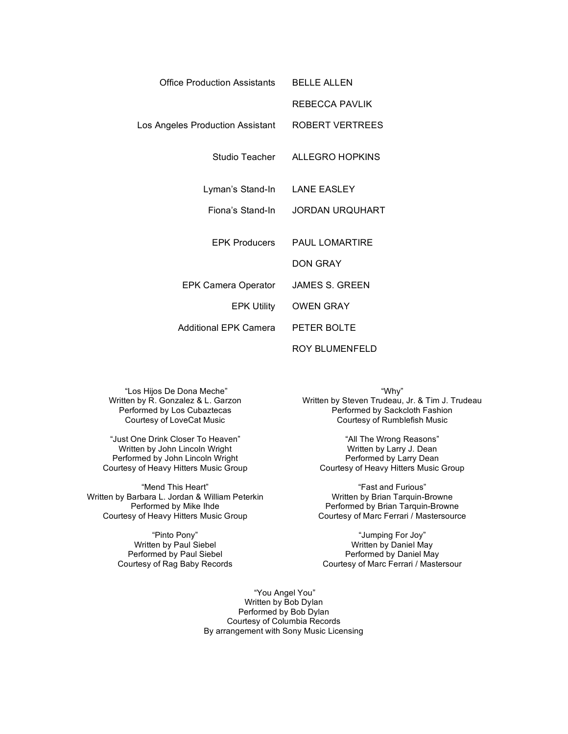| Office Production Assistants     | BELLE ALLEN            |
|----------------------------------|------------------------|
|                                  | REBECCA PAVLIK         |
| Los Angeles Production Assistant | ROBERT VERTREES        |
| Studio Teacher                   | ALLEGRO HOPKINS        |
| Lyman's Stand-In                 | <b>LANE EASLEY</b>     |
| Fiona's Stand-In                 | <b>JORDAN URQUHART</b> |
| EPK Producers                    | <b>PAUL LOMARTIRE</b>  |
|                                  | DON GRAY               |
| EPK Camera Operator              | JAMES S. GREEN         |
| <b>EPK Utility</b>               | <b>OWEN GRAY</b>       |
| Additional EPK Camera            | PETER BOLTE            |
|                                  | ROY BLUMENFELD         |

"Los Hijos De Dona Meche" Written by R. Gonzalez & L. Garzon Performed by Los Cubaztecas Courtesy of LoveCat Music

"Just One Drink Closer To Heaven" Written by John Lincoln Wright Performed by John Lincoln Wright Courtesy of Heavy Hitters Music Group

"Mend This Heart" Written by Barbara L. Jordan & William Peterkin Performed by Mike Ihde Courtesy of Heavy Hitters Music Group

> "Pinto Pony" Written by Paul Siebel Performed by Paul Siebel Courtesy of Rag Baby Records

"Why" Written by Steven Trudeau, Jr. & Tim J. Trudeau Performed by Sackcloth Fashion Courtesy of Rumblefish Music

> "All The Wrong Reasons" Written by Larry J. Dean Performed by Larry Dean Courtesy of Heavy Hitters Music Group

"Fast and Furious" Written by Brian Tarquin-Browne Performed by Brian Tarquin-Browne Courtesy of Marc Ferrari / Mastersource

"Jumping For Joy" Written by Daniel May Performed by Daniel May Courtesy of Marc Ferrari / Mastersour

"You Angel You" Written by Bob Dylan Performed by Bob Dylan Courtesy of Columbia Records By arrangement with Sony Music Licensing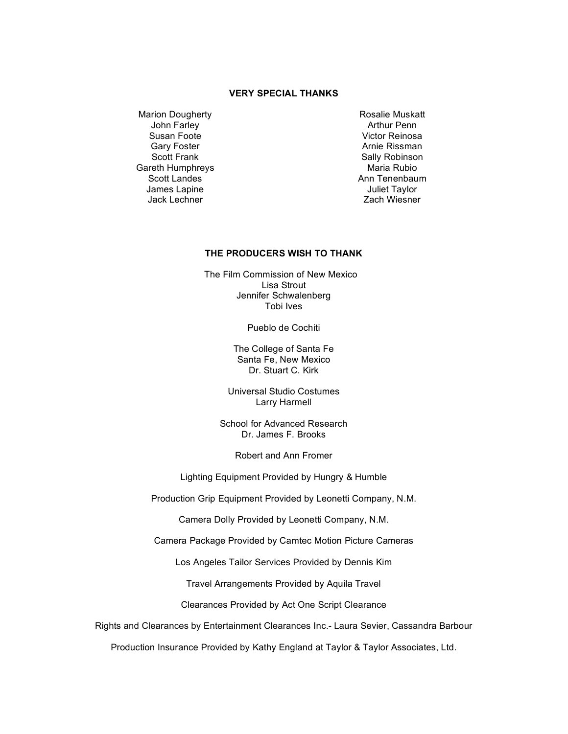### **VERY SPECIAL THANKS**

Marion Dougherty John Farley Susan Foote Gary Foster Scott Frank Gareth Humphreys Scott Landes James Lapine Jack Lechner

Rosalie Muskatt Arthur Penn Victor Reinosa Arnie Rissman Sally Robinson Maria Rubio Ann Tenenbaum Juliet Taylor Zach Wiesner

## **THE PRODUCERS WISH TO THANK**

 The Film Commission of New Mexico Lisa Strout Jennifer Schwalenberg Tobi Ives

Pueblo de Cochiti

The College of Santa Fe Santa Fe, New Mexico Dr. Stuart C. Kirk

Universal Studio Costumes Larry Harmell

School for Advanced Research Dr. James F. Brooks

Robert and Ann Fromer

Lighting Equipment Provided by Hungry & Humble

Production Grip Equipment Provided by Leonetti Company, N.M.

Camera Dolly Provided by Leonetti Company, N.M.

Camera Package Provided by Camtec Motion Picture Cameras

Los Angeles Tailor Services Provided by Dennis Kim

Travel Arrangements Provided by Aquila Travel

Clearances Provided by Act One Script Clearance

Rights and Clearances by Entertainment Clearances Inc.- Laura Sevier, Cassandra Barbour

Production Insurance Provided by Kathy England at Taylor & Taylor Associates, Ltd.